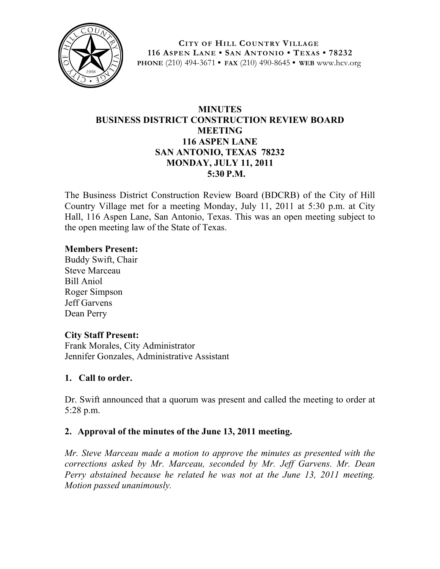

**CITY OF HILL COUNTRY VILLAGE 116 ASPEN LANE • SAN ANTONIO • TEXAS • 78232 PHONE** (210) 494-3671 **• FAX** (210) 490-8645 **• WEB** www.hcv.org

# **MINUTES BUSINESS DISTRICT CONSTRUCTION REVIEW BOARD MEETING 116 ASPEN LANE SAN ANTONIO, TEXAS 78232 MONDAY, JULY 11, 2011 5:30 P.M.**

The Business District Construction Review Board (BDCRB) of the City of Hill Country Village met for a meeting Monday, July 11, 2011 at 5:30 p.m. at City Hall, 116 Aspen Lane, San Antonio, Texas. This was an open meeting subject to the open meeting law of the State of Texas.

#### **Members Present:**

Buddy Swift, Chair Steve Marceau Bill Aniol Roger Simpson Jeff Garvens Dean Perry

## **City Staff Present:**

Frank Morales, City Administrator Jennifer Gonzales, Administrative Assistant

## **1. Call to order.**

Dr. Swift announced that a quorum was present and called the meeting to order at 5:28 p.m.

## **2. Approval of the minutes of the June 13, 2011 meeting.**

*Mr. Steve Marceau made a motion to approve the minutes as presented with the corrections asked by Mr. Marceau, seconded by Mr. Jeff Garvens. Mr. Dean Perry abstained because he related he was not at the June 13, 2011 meeting. Motion passed unanimously.*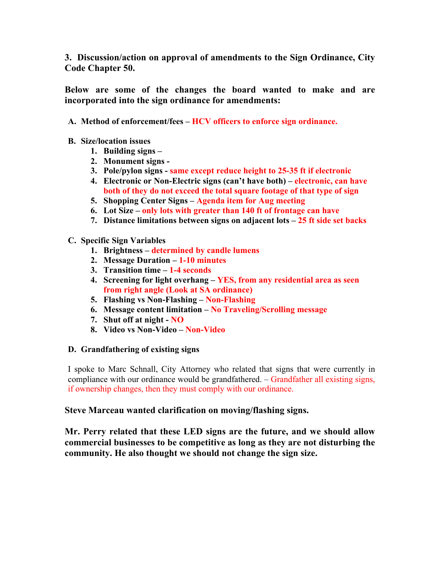**3. Discussion/action on approval of amendments to the Sign Ordinance, City Code Chapter 50.**

**Below are some of the changes the board wanted to make and are incorporated into the sign ordinance for amendments:**

- **A. Method of enforcement/fees – HCV officers to enforce sign ordinance.**
- **B. Size/location issues**
	- **1. Building signs –**
	- **2. Monument signs -**
	- **3. Pole/pylon signs - same except reduce height to 25-35 ft if electronic**
	- **4. Electronic or Non-Electric signs (can't have both) – electronic, can have both of they do not exceed the total square footage of that type of sign**
	- **5. Shopping Center Signs – Agenda item for Aug meeting**
	- **6. Lot Size – only lots with greater than 140 ft of frontage can have**
	- **7. Distance limitations between signs on adjacent lots – 25 ft side set backs**

#### **C. Specific Sign Variables**

- **1. Brightness – determined by candle lumens**
- **2. Message Duration – 1-10 minutes**
- **3. Transition time – 1-4 seconds**
- **4. Screening for light overhang – YES, from any residential area as seen from right angle (Look at SA ordinance)**
- **5. Flashing vs Non-Flashing – Non-Flashing**
- **6. Message content limitation – No Traveling/Scrolling message**
- **7. Shut off at night - NO**
- **8. Video vs Non-Video – Non-Video**

#### **D. Grandfathering of existing signs**

I spoke to Marc Schnall, City Attorney who related that signs that were currently in compliance with our ordinance would be grandfathered. – Grandfather all existing signs, if ownership changes, then they must comply with our ordinance.

#### **Steve Marceau wanted clarification on moving/flashing signs.**

**Mr. Perry related that these LED signs are the future, and we should allow commercial businesses to be competitive as long as they are not disturbing the community. He also thought we should not change the sign size.**